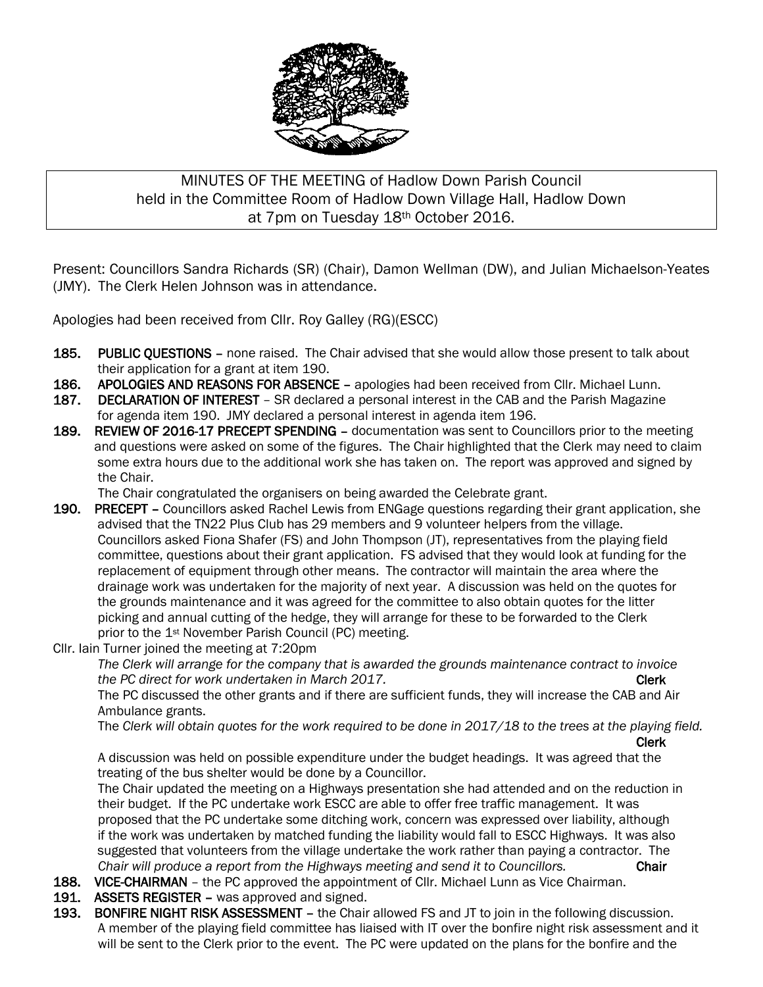

## MINUTES OF THE MEETING of Hadlow Down Parish Council held in the Committee Room of Hadlow Down Village Hall, Hadlow Down at 7pm on Tuesday 18th October 2016.

Present: Councillors Sandra Richards (SR) (Chair), Damon Wellman (DW), and Julian Michaelson-Yeates (JMY). The Clerk Helen Johnson was in attendance.

Apologies had been received from Cllr. Roy Galley (RG)(ESCC)

- 185. PUBLIC QUESTIONS none raised. The Chair advised that she would allow those present to talk about their application for a grant at item 190.
- 186. APOLOGIES AND REASONS FOR ABSENCE apologies had been received from Cllr. Michael Lunn.
- 187. DECLARATION OF INTEREST SR declared a personal interest in the CAB and the Parish Magazine for agenda item 190. JMY declared a personal interest in agenda item 196.
- 189. REVIEW OF 2016-17 PRECEPT SPENDING documentation was sent to Councillors prior to the meeting and questions were asked on some of the figures. The Chair highlighted that the Clerk may need to claim some extra hours due to the additional work she has taken on. The report was approved and signed by the Chair.

The Chair congratulated the organisers on being awarded the Celebrate grant.

- 190. PRECEPT Councillors asked Rachel Lewis from ENGage questions regarding their grant application, she advised that the TN22 Plus Club has 29 members and 9 volunteer helpers from the village. Councillors asked Fiona Shafer (FS) and John Thompson (JT), representatives from the playing field committee, questions about their grant application. FS advised that they would look at funding for the replacement of equipment through other means. The contractor will maintain the area where the drainage work was undertaken for the majority of next year. A discussion was held on the quotes for the grounds maintenance and it was agreed for the committee to also obtain quotes for the litter picking and annual cutting of the hedge, they will arrange for these to be forwarded to the Clerk prior to the 1st November Parish Council (PC) meeting.
- Cllr. Iain Turner joined the meeting at 7:20pm

 *The Clerk will arrange for the company that is awarded the grounds maintenance contract to invoice the PC direct for work undertaken in March 2017.* The same of the contract test of the Clerk

 The PC discussed the other grants and if there are sufficient funds, they will increase the CAB and Air Ambulance grants.

The *Clerk will obtain quotes for the work required to be done in 2017/18 to the trees at the playing field.*

Clerk

A discussion was held on possible expenditure under the budget headings. It was agreed that the treating of the bus shelter would be done by a Councillor.

The Chair updated the meeting on a Highways presentation she had attended and on the reduction in their budget. If the PC undertake work ESCC are able to offer free traffic management. It was proposed that the PC undertake some ditching work, concern was expressed over liability, although if the work was undertaken by matched funding the liability would fall to ESCC Highways. It was also suggested that volunteers from the village undertake the work rather than paying a contractor. The *Chair will produce a report from the Highways meeting and send it to Councillors.* Chair

- 188. VICE-CHAIRMAN the PC approved the appointment of Cllr. Michael Lunn as Vice Chairman.
- 191. ASSETS REGISTER was approved and signed.
- 193. BONFIRE NIGHT RISK ASSESSMENT the Chair allowed FS and JT to join in the following discussion. A member of the playing field committee has liaised with IT over the bonfire night risk assessment and it will be sent to the Clerk prior to the event. The PC were updated on the plans for the bonfire and the